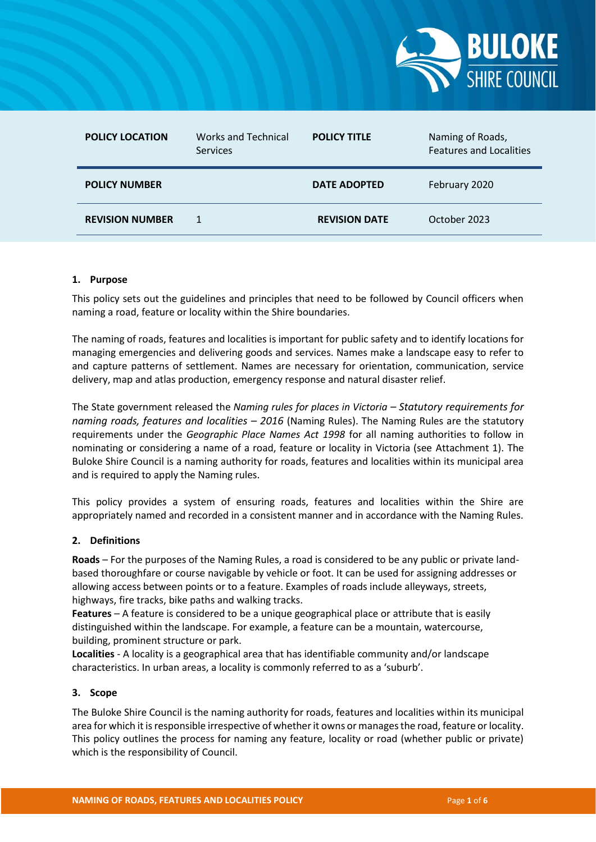

| <b>POLICY LOCATION</b> | <b>Works and Technical</b><br>Services | <b>POLICY TITLE</b>  | Naming of Roads,<br><b>Features and Localities</b> |
|------------------------|----------------------------------------|----------------------|----------------------------------------------------|
| <b>POLICY NUMBER</b>   |                                        | <b>DATE ADOPTED</b>  | February 2020                                      |
| <b>REVISION NUMBER</b> |                                        | <b>REVISION DATE</b> | October 2023                                       |

# **1. Purpose**

This policy sets out the guidelines and principles that need to be followed by Council officers when naming a road, feature or locality within the Shire boundaries.

The naming of roads, features and localities is important for public safety and to identify locations for managing emergencies and delivering goods and services. Names make a landscape easy to refer to and capture patterns of settlement. Names are necessary for orientation, communication, service delivery, map and atlas production, emergency response and natural disaster relief.

The State government released the *Naming rules for places in Victoria – Statutory requirements for naming roads, features and localities – 2016* (Naming Rules). The Naming Rules are the statutory requirements under the *Geographic Place Names Act 1998* for all naming authorities to follow in nominating or considering a name of a road, feature or locality in Victoria (see Attachment 1). The Buloke Shire Council is a naming authority for roads, features and localities within its municipal area and is required to apply the Naming rules.

This policy provides a system of ensuring roads, features and localities within the Shire are appropriately named and recorded in a consistent manner and in accordance with the Naming Rules.

## **2. Definitions**

**Roads** – For the purposes of the Naming Rules, a road is considered to be any public or private land‐ based thoroughfare or course navigable by vehicle or foot. It can be used for assigning addresses or allowing access between points or to a feature. Examples of roads include alleyways, streets, highways, fire tracks, bike paths and walking tracks.

**Features** – A feature is considered to be a unique geographical place or attribute that is easily distinguished within the landscape. For example, a feature can be a mountain, watercourse, building, prominent structure or park.

**Localities** - A locality is a geographical area that has identifiable community and/or landscape characteristics. In urban areas, a locality is commonly referred to as a 'suburb'.

## **3. Scope**

The Buloke Shire Council is the naming authority for roads, features and localities within its municipal area for which it is responsible irrespective of whether it owns or manages the road, feature or locality. This policy outlines the process for naming any feature, locality or road (whether public or private) which is the responsibility of Council.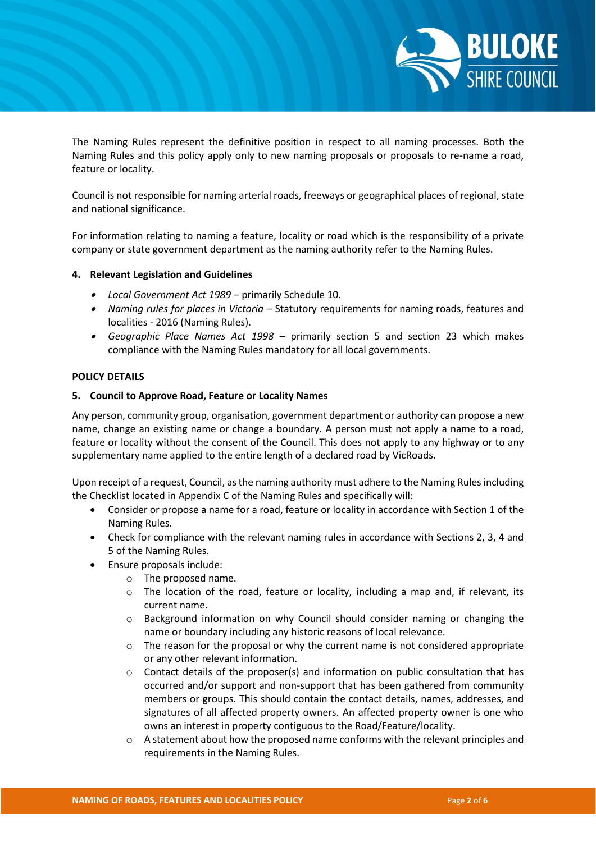

The Naming Rules represent the definitive position in respect to all naming processes. Both the Naming Rules and this policy apply only to new naming proposals or proposals to re-name a road, feature or locality.

Council is not responsible for naming arterial roads, freeways or geographical places of regional, state and national significance.

For information relating to naming a feature, locality or road which is the responsibility of a private company or state government department as the naming authority refer to the Naming Rules.

# **4. Relevant Legislation and Guidelines**

- *Local Government Act 1989* primarily Schedule 10.
- *Naming rules for places in Victoria* Statutory requirements for naming roads, features and localities - 2016 (Naming Rules).
- $\bullet$  *Geographic Place Names Act 1998* – primarily section 5 and section 23 which makes compliance with the Naming Rules mandatory for all local governments.

# **POLICY DETAILS**

# **5. Council to Approve Road, Feature or Locality Names**

Any person, community group, organisation, government department or authority can propose a new name, change an existing name or change a boundary. A person must not apply a name to a road, feature or locality without the consent of the Council. This does not apply to any highway or to any supplementary name applied to the entire length of a declared road by VicRoads.

Upon receipt of a request, Council, as the naming authority must adhere to the Naming Rules including the Checklist located in Appendix C of the Naming Rules and specifically will:

- Consider or propose a name for a road, feature or locality in accordance with Section 1 of the Naming Rules.
- Check for compliance with the relevant naming rules in accordance with Sections 2, 3, 4 and 5 of the Naming Rules.
- Ensure proposals include:
	- o The proposed name.
	- o The location of the road, feature or locality, including a map and, if relevant, its current name.
	- o Background information on why Council should consider naming or changing the name or boundary including any historic reasons of local relevance.
	- $\circ$  The reason for the proposal or why the current name is not considered appropriate or any other relevant information.
	- $\circ$  Contact details of the proposer(s) and information on public consultation that has occurred and/or support and non-support that has been gathered from community members or groups. This should contain the contact details, names, addresses, and signatures of all affected property owners. An affected property owner is one who owns an interest in property contiguous to the Road/Feature/locality.
	- o A statement about how the proposed name conforms with the relevant principles and requirements in the Naming Rules.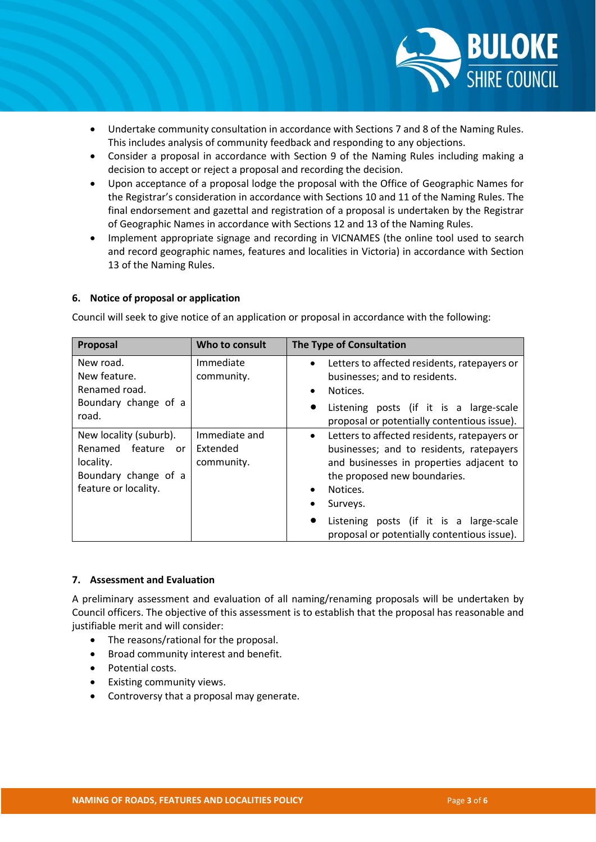

- Undertake community consultation in accordance with Sections 7 and 8 of the Naming Rules. This includes analysis of community feedback and responding to any objections.
- Consider a proposal in accordance with Section 9 of the Naming Rules including making a decision to accept or reject a proposal and recording the decision.
- Upon acceptance of a proposal lodge the proposal with the Office of Geographic Names for the Registrar's consideration in accordance with Sections 10 and 11 of the Naming Rules. The final endorsement and gazettal and registration of a proposal is undertaken by the Registrar of Geographic Names in accordance with Sections 12 and 13 of the Naming Rules.
- Implement appropriate signage and recording in VICNAMES (the online tool used to search and record geographic names, features and localities in Victoria) in accordance with Section 13 of the Naming Rules.

# **6. Notice of proposal or application**

Council will seek to give notice of an application or proposal in accordance with the following:

| Proposal                                                                                                                | Who to consult                          | The Type of Consultation                                                                                                                                                                                  |
|-------------------------------------------------------------------------------------------------------------------------|-----------------------------------------|-----------------------------------------------------------------------------------------------------------------------------------------------------------------------------------------------------------|
| New road.<br>New feature.<br>Renamed road.                                                                              | Immediate<br>community.                 | Letters to affected residents, ratepayers or<br>$\bullet$<br>businesses; and to residents.<br>Notices.<br>$\bullet$                                                                                       |
| Boundary change of a<br>road.                                                                                           |                                         | Listening posts (if it is a large-scale<br>$\bullet$<br>proposal or potentially contentious issue).                                                                                                       |
| New locality (suburb).<br>Renamed feature<br><sub>or</sub><br>locality.<br>Boundary change of a<br>feature or locality. | Immediate and<br>Extended<br>community. | Letters to affected residents, ratepayers or<br>$\bullet$<br>businesses; and to residents, ratepayers<br>and businesses in properties adjacent to<br>the proposed new boundaries.<br>Notices.<br>Surveys. |
|                                                                                                                         |                                         | Listening posts (if it is a large-scale<br>$\bullet$<br>proposal or potentially contentious issue).                                                                                                       |

## **7. Assessment and Evaluation**

A preliminary assessment and evaluation of all naming/renaming proposals will be undertaken by Council officers. The objective of this assessment is to establish that the proposal has reasonable and justifiable merit and will consider:

- The reasons/rational for the proposal.
- Broad community interest and benefit.
- Potential costs.
- Existing community views.
- Controversy that a proposal may generate.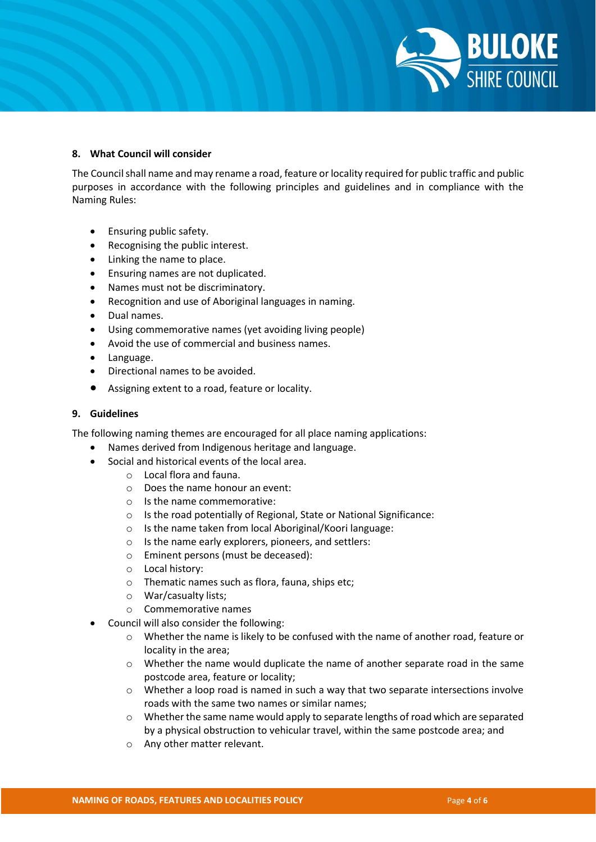

# **8. What Council will consider**

The Council shall name and may rename a road, feature or locality required for public traffic and public purposes in accordance with the following principles and guidelines and in compliance with the Naming Rules:

- **•** Ensuring public safety.
- Recognising the public interest.
- Linking the name to place.
- **•** Ensuring names are not duplicated.
- Names must not be discriminatory.
- Recognition and use of Aboriginal languages in naming.
- Dual names.
- Using commemorative names (yet avoiding living people)
- Avoid the use of commercial and business names.
- Language.
- Directional names to be avoided.
- Assigning extent to a road, feature or locality.

## **9. Guidelines**

The following naming themes are encouraged for all place naming applications:

- Names derived from Indigenous heritage and language.
- Social and historical events of the local area.
	- o Local flora and fauna.
	- o Does the name honour an event:
	- o Is the name commemorative:
	- o Is the road potentially of Regional, State or National Significance:
	- o Is the name taken from local Aboriginal/Koori language:
	- o Is the name early explorers, pioneers, and settlers:
	- o Eminent persons (must be deceased):
	- o Local history:
	- o Thematic names such as flora, fauna, ships etc;
	- o War/casualty lists;
	- o Commemorative names
- Council will also consider the following:
	- o Whether the name is likely to be confused with the name of another road, feature or locality in the area;
	- $\circ$  Whether the name would duplicate the name of another separate road in the same postcode area, feature or locality;
	- o Whether a loop road is named in such a way that two separate intersections involve roads with the same two names or similar names;
	- $\circ$  Whether the same name would apply to separate lengths of road which are separated by a physical obstruction to vehicular travel, within the same postcode area; and
	- o Any other matter relevant.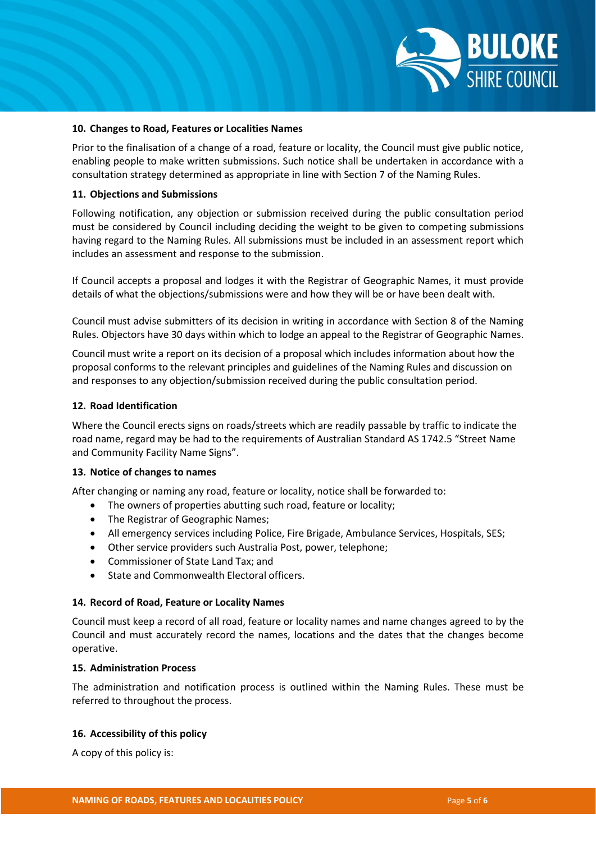

#### **10. Changes to Road, Features or Localities Names**

Prior to the finalisation of a change of a road, feature or locality, the Council must give public notice, enabling people to make written submissions. Such notice shall be undertaken in accordance with a consultation strategy determined as appropriate in line with Section 7 of the Naming Rules.

## **11. Objections and Submissions**

Following notification, any objection or submission received during the public consultation period must be considered by Council including deciding the weight to be given to competing submissions having regard to the Naming Rules. All submissions must be included in an assessment report which includes an assessment and response to the submission.

If Council accepts a proposal and lodges it with the Registrar of Geographic Names, it must provide details of what the objections/submissions were and how they will be or have been dealt with.

Council must advise submitters of its decision in writing in accordance with Section 8 of the Naming Rules. Objectors have 30 days within which to lodge an appeal to the Registrar of Geographic Names.

Council must write a report on its decision of a proposal which includes information about how the proposal conforms to the relevant principles and guidelines of the Naming Rules and discussion on and responses to any objection/submission received during the public consultation period.

## **12. Road Identification**

Where the Council erects signs on roads/streets which are readily passable by traffic to indicate the road name, regard may be had to the requirements of Australian Standard AS 1742.5 "Street Name and Community Facility Name Signs".

## **13. Notice of changes to names**

After changing or naming any road, feature or locality, notice shall be forwarded to:

- The owners of properties abutting such road, feature or locality;
- The Registrar of Geographic Names;
- All emergency services including Police, Fire Brigade, Ambulance Services, Hospitals, SES;
- Other service providers such Australia Post, power, telephone;
- Commissioner of State Land Tax; and
- State and Commonwealth Electoral officers.

## **14. Record of Road, Feature or Locality Names**

Council must keep a record of all road, feature or locality names and name changes agreed to by the Council and must accurately record the names, locations and the dates that the changes become operative.

# **15. Administration Process**

The administration and notification process is outlined within the Naming Rules. These must be referred to throughout the process.

## **16. Accessibility of this policy**

A copy of this policy is: